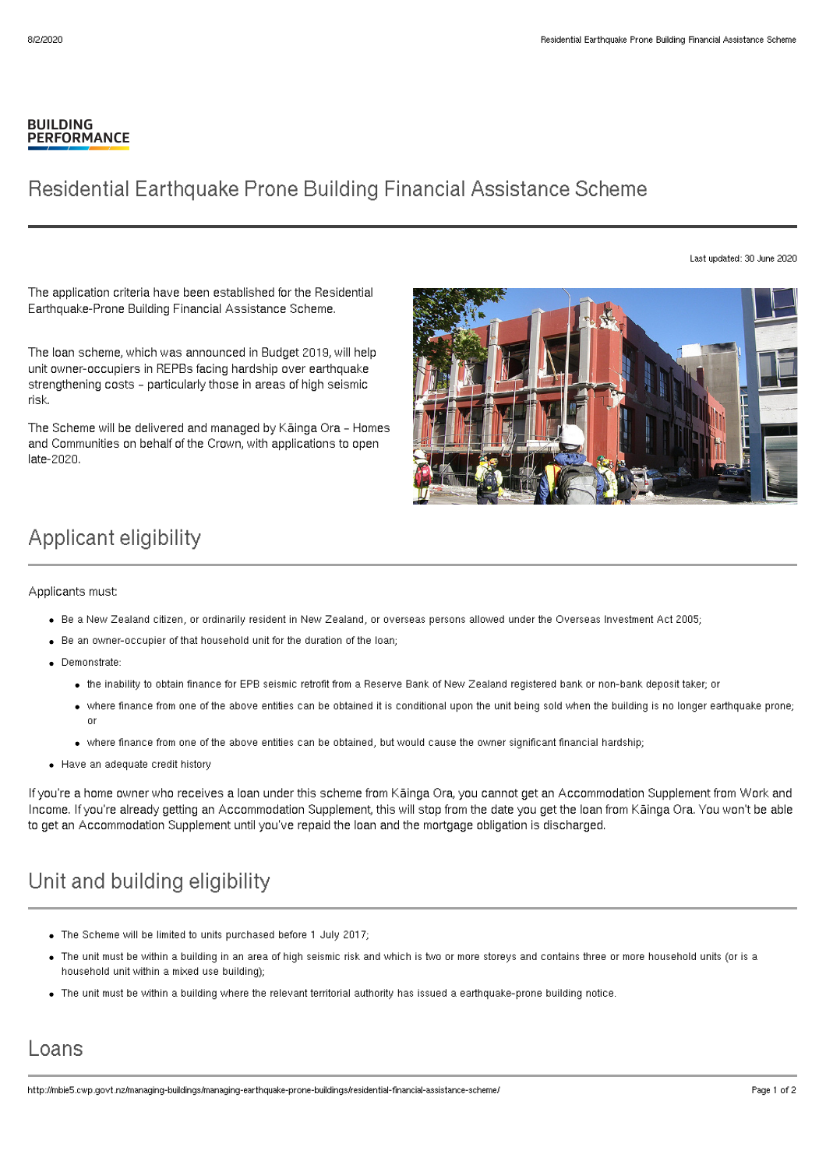#### **BUILDING PERFORMANCE**

## Residential Earthquake Prone Building Financial Assistance Scheme

Last updated: 30 June 2020

The application criteria have been established for the Residential Earthquake-Prone Building Financial Assistance Scheme.

The loan scheme, which was announced in Budget 2019, will help unit owner-occupiers in REPBs facing hardship over earthquake strengthening costs – particularly those in areas of high seismic risk.

The Scheme will be delivered and managed by Kāinga Ora – Homes and Communities on behalf of the Crown, with applications to open late-2020.



# Applicant eligibility

Applicants must:

- Be a New Zealand citizen, or ordinarily resident in New Zealand, or overseas persons allowed under the Overseas Investment Act 2005;
- Be an owner-occupier of that household unit for the duration of the loan;
- Demonstrate:
	- the inability to obtain finance for EPB seismic retrofit from a Reserve Bank of New Zealand registered bank or non-bank deposit taker; or
	- where finance from one of the above entities can be obtained it is conditional upon the unit being sold when the building is no longer earthquake prone; or
	- where finance from one of the above entities can be obtained, but would cause the owner significant financial hardship;
- Have an adequate credit history

If you're a home owner who receives a loan under this scheme from Kāinga Ora, you cannot get an Accommodation Supplement from Work and Income. If you're already getting an Accommodation Supplement, this will stop from the date you get the loan from Kāinga Ora. You won't be able to get an Accommodation Supplement until you've repaid the loan and the mortgage obligation is discharged.

# Unit and building eligibility

- The Scheme will be limited to units purchased before 1 July 2017;
- The unit must be within a building in an area of high seismic risk and which is two or more storeys and contains three or more household units (or is a household unit within a mixed use building);
- The unit must be within a building where the relevant territorial authority has issued a earthquake-prone building notice.

### Loans